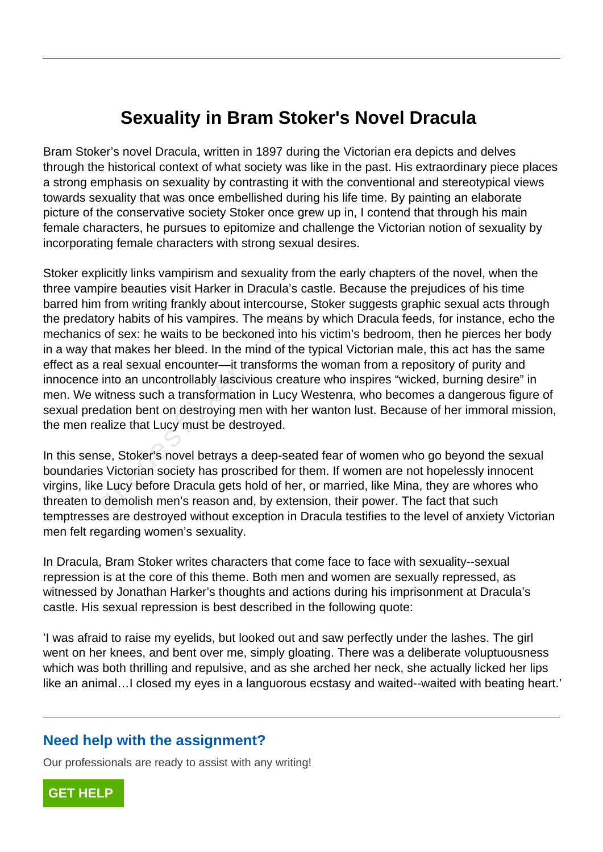## **Sexuality in Bram Stoker's Novel Dracula**

Bram Stoker's novel Dracula, written in 1897 during the Victorian era depicts and delves through the historical context of what society was like in the past. His extraordinary piece places a strong emphasis on sexuality by contrasting it with the conventional and stereotypical views towards sexuality that was once embellished during his life time. By painting an elaborate picture of the conservative society Stoker once grew up in, I contend that through his main female characters, he pursues to epitomize and challenge the Victorian notion of sexuality by incorporating female characters with strong sexual desires.

Stoker explicitly links vampirism and sexuality from the early chapters of the novel, when the three vampire beauties visit Harker in Dracula's castle. Because the prejudices of his time barred him from writing frankly about intercourse, Stoker suggests graphic sexual acts through the predatory habits of his vampires. The means by which Dracula feeds, for instance, echo the mechanics of sex: he waits to be beckoned into his victim's bedroom, then he pierces her body in a way that makes her bleed. In the mind of the typical Victorian male, this act has the same effect as a real sexual encounter—it transforms the woman from a repository of purity and innocence into an uncontrollably lascivious creature who inspires "wicked, burning desire" in men. We witness such a transformation in Lucy Westenra, who becomes a dangerous figure of sexual predation bent on destroying men with her wanton lust. Because of her immoral mission, the men realize that Lucy must be destroyed. ory habits of his vampires. The means<br>
is of sex: he waits to be beckoned into h<br>
inta makes her bleed. In the mind of the<br>
real sexual encounter—it transforms tl<br>
into an uncontrollably lascivious creat<br>
witness such a tr

In this sense, Stoker's novel betrays a deep-seated fear of women who go beyond the sexual boundaries Victorian society has proscribed for them. If women are not hopelessly innocent virgins, like Lucy before Dracula gets hold of her, or married, like Mina, they are whores who threaten to demolish men's reason and, by extension, their power. The fact that such temptresses are destroyed without exception in Dracula testifies to the level of anxiety Victorian men felt regarding women's sexuality.

In Dracula, Bram Stoker writes characters that come face to face with sexuality--sexual repression is at the core of this theme. Both men and women are sexually repressed, as witnessed by Jonathan Harker's thoughts and actions during his imprisonment at Dracula's castle. His sexual repression is best described in the following quote:

'I was afraid to raise my eyelids, but looked out and saw perfectly under the lashes. The girl went on her knees, and bent over me, simply gloating. There was a deliberate voluptuousness which was both thrilling and repulsive, and as she arched her neck, she actually licked her lips like an animal... I closed my eyes in a languorous ecstasy and waited--waited with beating heart.'

## **Need help with the assignment?**

Our professionals are ready to assist with any writing!

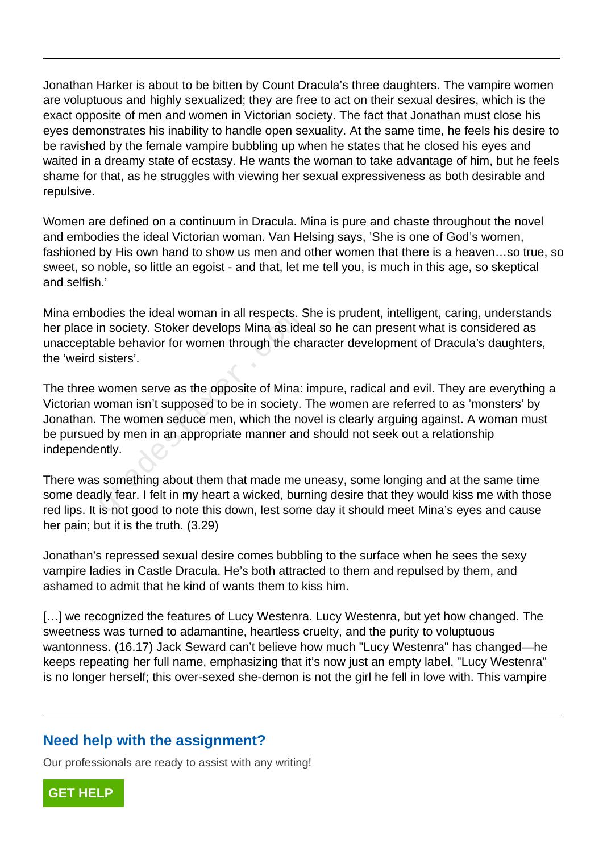Jonathan Harker is about to be bitten by Count Dracula's three daughters. The vampire women are voluptuous and highly sexualized; they are free to act on their sexual desires, which is the exact opposite of men and women in Victorian society. The fact that Jonathan must close his eyes demonstrates his inability to handle open sexuality. At the same time, he feels his desire to be ravished by the female vampire bubbling up when he states that he closed his eyes and waited in a dreamy state of ecstasy. He wants the woman to take advantage of him, but he feels shame for that, as he struggles with viewing her sexual expressiveness as both desirable and repulsive.

Women are defined on a continuum in Dracula. Mina is pure and chaste throughout the novel and embodies the ideal Victorian woman. Van Helsing says, 'She is one of God's women, fashioned by His own hand to show us men and other women that there is a heaven…so true, so sweet, so noble, so little an egoist - and that, let me tell you, is much in this age, so skeptical and selfish.'

Mina embodies the ideal woman in all respects. She is prudent, intelligent, caring, understands her place in society. Stoker develops Mina as ideal so he can present what is considered as unacceptable behavior for women through the character development of Dracula's daughters, the 'weird sisters'.

The three women serve as the opposite of Mina: impure, radical and evil. They are everything a Victorian woman isn't supposed to be in society. The women are referred to as 'monsters' by Jonathan. The women seduce men, which the novel is clearly arguing against. A woman must be pursued by men in an appropriate manner and should not seek out a relationship independently. bates the loeal wornan in all respects. Somes the loeal wornan in all respects. Some society. Stoker develops Mina as ide ble behavior for women through the ch sisters'.<br>Women serve as the opposite of Mina:<br>woman isn't sup

There was something about them that made me uneasy, some longing and at the same time some deadly fear. I felt in my heart a wicked, burning desire that they would kiss me with those red lips. It is not good to note this down, lest some day it should meet Mina's eyes and cause her pain; but it is the truth. (3.29)

Jonathan's repressed sexual desire comes bubbling to the surface when he sees the sexy vampire ladies in Castle Dracula. He's both attracted to them and repulsed by them, and ashamed to admit that he kind of wants them to kiss him.

[...] we recognized the features of Lucy Westenra. Lucy Westenra, but yet how changed. The sweetness was turned to adamantine, heartless cruelty, and the purity to voluptuous wantonness. (16.17) Jack Seward can't believe how much "Lucy Westenra" has changed—he keeps repeating her full name, emphasizing that it's now just an empty label. "Lucy Westenra" is no longer herself; this over-sexed she-demon is not the girl he fell in love with. This vampire

## **Need help with the assignment?**

Our professionals are ready to assist with any writing!